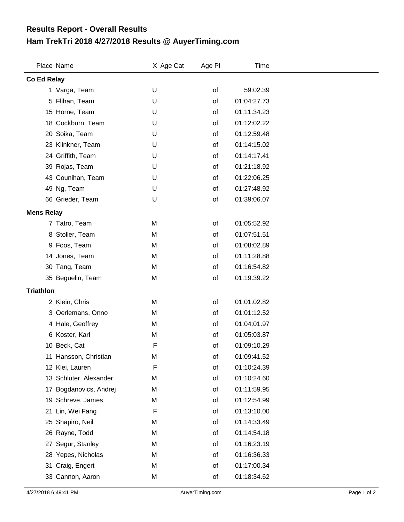## **Ham TrekTri 2018 4/27/2018 Results @ AuyerTiming.com Results Report - Overall Results**

|                   | Place Name             | X Age Cat | Age PI | <b>Time</b> |  |  |  |
|-------------------|------------------------|-----------|--------|-------------|--|--|--|
| Co Ed Relay       |                        |           |        |             |  |  |  |
|                   | 1 Varga, Team          | U         | of     | 59:02.39    |  |  |  |
|                   | 5 Flihan, Team         | U         | of     | 01:04:27.73 |  |  |  |
|                   | 15 Horne, Team         | U         | of     | 01:11:34.23 |  |  |  |
|                   | 18 Cockburn, Team      | U         | of     | 01:12:02.22 |  |  |  |
|                   | 20 Soika, Team         | U         | of     | 01:12:59.48 |  |  |  |
|                   | 23 Klinkner, Team      | U         | of     | 01:14:15.02 |  |  |  |
|                   | 24 Griffith, Team      | U         | of     | 01:14:17.41 |  |  |  |
|                   | 39 Rojas, Team         | U         | of     | 01:21:18.92 |  |  |  |
|                   | 43 Counihan, Team      | U         | οf     | 01:22:06.25 |  |  |  |
|                   | 49 Ng, Team            | U         | of     | 01:27:48.92 |  |  |  |
|                   | 66 Grieder, Team       | U         | of     | 01:39:06.07 |  |  |  |
| <b>Mens Relay</b> |                        |           |        |             |  |  |  |
|                   | 7 Tatro, Team          | M         | of     | 01:05:52.92 |  |  |  |
|                   | 8 Stoller, Team        | M         | οf     | 01:07:51.51 |  |  |  |
|                   | 9 Foos, Team           | M         | οf     | 01:08:02.89 |  |  |  |
|                   | 14 Jones, Team         | M         | οf     | 01:11:28.88 |  |  |  |
|                   | 30 Tang, Team          | M         | of     | 01:16:54.82 |  |  |  |
|                   | 35 Beguelin, Team      | M         | of     | 01:19:39.22 |  |  |  |
| <b>Triathlon</b>  |                        |           |        |             |  |  |  |
|                   | 2 Klein, Chris         | M         | of     | 01:01:02.82 |  |  |  |
|                   | 3 Oerlemans, Onno      | M         | of     | 01:01:12.52 |  |  |  |
|                   | 4 Hale, Geoffrey       | M         | of     | 01:04:01.97 |  |  |  |
|                   | 6 Koster, Karl         | M         | of     | 01:05:03.87 |  |  |  |
|                   | 10 Beck, Cat           | F         | of     | 01:09:10.29 |  |  |  |
|                   | 11 Hansson, Christian  | M         | of     | 01:09:41.52 |  |  |  |
|                   | 12 Klei, Lauren        | F         | of     | 01:10:24.39 |  |  |  |
|                   | 13 Schluter, Alexander | M         | of     | 01:10:24.60 |  |  |  |
| 17                | Bogdanovics, Andrej    | M         | of     | 01:11:59.95 |  |  |  |
|                   | 19 Schreve, James      | M         | of     | 01:12:54.99 |  |  |  |
| 21                | Lin, Wei Fang          | F         | of     | 01:13:10.00 |  |  |  |
|                   | 25 Shapiro, Neil       | M         | of     | 01:14:33.49 |  |  |  |
|                   | 26 Rayne, Todd         | M         | of     | 01:14:54.18 |  |  |  |
|                   | 27 Segur, Stanley      | M         | of     | 01:16:23.19 |  |  |  |
|                   | 28 Yepes, Nicholas     | M         | of     | 01:16:36.33 |  |  |  |
|                   | 31 Craig, Engert       | M         | of     | 01:17:00.34 |  |  |  |
|                   | 33 Cannon, Aaron       | M         | of     | 01:18:34.62 |  |  |  |